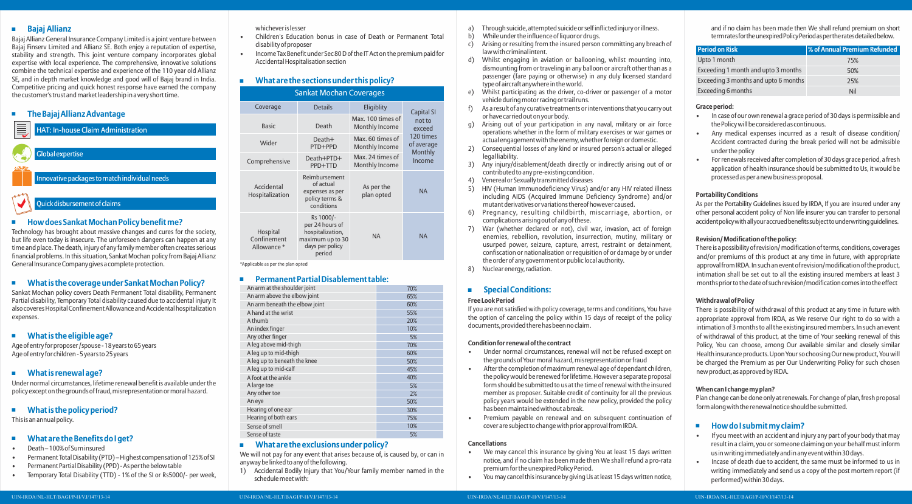#### **Bajaj Allianz**

Bajaj Allianz General Insurance Company Limited is a joint venture between Bajaj Finserv Limited and Allianz SE. Both enjoy a reputation of expertise, stability and strength. This joint venture company incorporates global expertise with local experience. The comprehensive, innovative solutions combine the technical expertise and experience of the 110 year old Allianz SE, and in depth market knowledge and good will of Bajaj brand in India. Competitive pricing and quick honest response have earned the company the customer's trust and market leadership in a very short time.

#### **The Bajaj Allianz Advantage**

| E | <b>HAT: In-house Claim Administration</b>     |
|---|-----------------------------------------------|
|   | Global expertise                              |
|   | Innovative packages to match individual needs |
|   | Quick dishursement of claims                  |

#### ■ How does Sankat Mochan Policy benefit me?

Technology has brought about massive changes and cures for the society, but life even today is insecure. The unforeseen dangers can happen at any time and place. The death, injury of any family member often creates serious financial problems. In this situation, Sankat Mochan policy from Bajaj Allianz General Insurance Company gives a complete protection.

#### **What is the coverage under Sankat Mochan Policy?**

Sankat Mochan policy covers Death Permanent Total disability, Permanent Partial disability, Temporary Total disability caused due to accidental injury It also coveres Hospital Confinement Allowance and Accidental hospitalization expenses.

#### **What is the eligible age?**

Age of entry for proposer /spouse - 18 years to 65 years Age of entry for children - 5 years to 25 years

#### **What is renewal age?**

Under normal circumstances, lifetime renewal benefit is available under the policy except on the grounds of fraud, misrepresentation or moral hazard.

### **What is the policy period?**

This is an annual policy.

### **What are the Benefits do I get?**

- Death 100% of Sum insured
- Permanent Total Disability (PTD) Highest compensation of 125% of SI
- Permanent Partial Disability (PPD) As per the below table
- Temporary Total Disability (TTD) 1% of the SI or Rs5000/- per week,

whichever is lesser

- Children's Education bonus in case of Death or Permanent Total disability of proposer
- Income Tax Benefit under Sec 80 D of the IT Act on the premium paid for Accidental Hospitalisation section

## **What are the sections under this policy?**

| <b>Sankat Mochan Coverages</b>        |                                                                                                   |                                     |                                                                                       |  |  |  |
|---------------------------------------|---------------------------------------------------------------------------------------------------|-------------------------------------|---------------------------------------------------------------------------------------|--|--|--|
| Coverage                              | <b>Details</b>                                                                                    | Eligiblity                          | <b>Capital SI</b><br>not to<br>exceed<br>120 times<br>of average<br>Monthly<br>Income |  |  |  |
| <b>Basic</b>                          | Death                                                                                             | Max. 100 times of<br>Monthly Income |                                                                                       |  |  |  |
| Wider                                 | Death+<br>PTD+PPD                                                                                 | Max. 60 times of<br>Monthly Income  |                                                                                       |  |  |  |
| Comprehensive                         | Death+PTD+<br>PPD+TTD                                                                             | Max. 24 times of<br>Monthly Income  |                                                                                       |  |  |  |
| Accidental<br>Hospitalization         | Reimbursement<br>of actual<br>expenses as per<br>policy terms &<br>conditions                     | As per the<br>plan opted            | <b>NA</b>                                                                             |  |  |  |
| Hospital<br>Confinement<br>Allowance* | Rs 1000/-<br>per 24 hours of<br>hospitalization,<br>maximum up to 30<br>days per policy<br>period | <b>NA</b>                           | <b>NA</b>                                                                             |  |  |  |

\*Applicable as per the plan opted

#### **Permanent Partial Disablement table:**

| An arm at the shoulder joint   | 70% |
|--------------------------------|-----|
| An arm above the elbow joint   | 65% |
| An arm beneath the elbow joint | 60% |
| A hand at the wrist            | 55% |
| A thumb                        | 20% |
| An index finger                | 10% |
| Any other finger               | 5%  |
| A leg above mid-thigh          | 70% |
| A leg up to mid-thigh          | 60% |
| A leg up to beneath the knee   | 50% |
| A leg up to mid-calf           | 45% |
| A foot at the ankle            | 40% |
| A large toe                    | 5%  |
| Any other toe                  | 2%  |
| An eye                         | 50% |
| Hearing of one ear             | 30% |
| Hearing of both ears           | 75% |
| Sense of smell                 | 10% |
| Sense of taste                 | 5%  |

#### **What are the exclusions under policy?**

We will not pay for any event that arises because of, is caused by, or can in anyway be linked to any of the following.

1) Accidental Bodily Injury that You/Your family member named in the schedule meet with:

- a) Through suicide, attempted suicide or self inflicted injury or illness.<br>b) While under the influence of liquor or drugs.
- b) While under the influence of liquor or drugs.<br>c) Arising or resulting from the insured person
- Arising or resulting from the insured person committing any breach of law with criminal intent.
- d) Whilst engaging in aviation or ballooning, whilst mounting into, dismounting from or traveling in any balloon or aircraft other than as a passenger (fare paying or otherwise) in any duly licensed standard type of aircraft anywhere in the world.
- e) Whilst participating as the driver, co-driver or passenger of a motor vehicle during motor racing or trail runs.
- f) As a result of any curative treatments or interventions that you carry out or have carried out on your body.
- g) Arising out of your participation in any naval, military or air force operations whether in the form of military exercises or war games or actual engagement with the enemy, whether foreign or domestic.
- 2) Consequential losses of any kind or insured person's actual or alleged legal liability.
- 3) Any injury/disablement/death directly or indirectly arising out of or contributed to any pre-existing condition.
- 4) Venereal or Sexually transmitted diseases
- 5) HIV (Human Immunodeficiency Virus) and/or any HIV related illness including AIDS (Acquired Immune Deficiency Syndrome) and/or mutant derivatives or variations thereof however caused.
- 6) Pregnancy, resulting childbirth, miscarriage, abortion, or complications arising out of any of these.
- 7) War (whether declared or not), civil war, invasion, act of foreign enemies, rebellion, revolution, insurrection, mutiny, military or usurped power, seizure, capture, arrest, restraint or detainment, confiscation or nationalisation or requisition of or damage by or under the order of any government or public local authority.
- 8) Nuclear energy, radiation.

### **E** Special Conditions:

#### **Free Look Period**

If you are not satisfied with policy coverage, terms and conditions, You have the option of canceling the policy within 15 days of receipt of the policy documents, provided there has been no claim.

#### **Condition for renewal of the contract**

- Under normal circumstances, renewal will not be refused except on the grounds of Your moral hazard, misrepresentation or fraud
- After the completion of maximum renewal age of dependant children, the policy would be renewed for lifetime. However a separate proposal form should be submitted to us at the time of renewal with the insured member as proposer. Suitable credit of continuity for all the previous policy years would be extended in the new policy, provided the policy has been maintained without a break.
- Premium payable on renewal and on subsequent continuation of cover are subject to change with prior approval from IRDA.

#### **Cancellations**

- We may cancel this insurance by giving You at least 15 days written notice, and if no claim has been made then We shall refund a pro-rata premium for the unexpired Policy Period.
- You may cancel this insurance by giving Us at least 15 days written notice,

and if no claim has been made then We shall refund premium on short term rates for the unexpired Policy Period as per the rates detailed below.

| <b>Period on Risk</b>                | S of Annual Premium Refunded |
|--------------------------------------|------------------------------|
| Upto 1 month                         | 75%                          |
| Exceeding 1 month and upto 3 months  | 50%                          |
| Exceeding 3 months and upto 6 months | 25%                          |
| Exceeding 6 months                   | Nil                          |

#### **Grace period:**

- In case of our own renewal a grace period of 30 days is permissible and the Policy will be considered as continuous.
- Any medical expenses incurred as a result of disease condition/ Accident contracted during the break period will not be admissible under the policy
- For renewals received after completion of 30 days grace period, a fresh application of health insurance should be submitted to Us, it would be processed as per a new business proposal.

#### **Portability Conditions**

As per the Portability Guidelines issued by IRDA, If you are insured under any other personal accident policy of Non life insurer you can transfer to personal accident policy with all your accrued benefits subject to underwriting quidelines.

#### **Revision/ Modification of the policy:**

There is a possibility of revision/ modification of terms, conditions, coverages and/or premiums of this product at any time in future, with appropriate approval from IRDA. In such an event of revision/modification of the product, intimation shall be set out to all the existing insured members at least 3 months prior to the date of such revision/modification comes into the effect

#### **Withdrawal of Policy**

There is possibility of withdrawal of this product at any time in future with appropriate approval from IRDA, as We reserve Our right to do so with a intimation of 3 months to all the existing insured members. In such an event of withdrawal of this product, at the time of Your seeking renewal of this Policy, You can choose, among Our available similar and closely similar Health insurance products. Upon Your so choosing Our new product, You will be charged the Premium as per Our Underwriting Policy for such chosen new product, as approved by IRDA.

#### **When can I change my plan?**

Plan change can be done only at renewals. For change of plan, fresh proposal form along with the renewal notice should be submitted.

#### **How do I submit my claim?**

- If you meet with an accident and injury any part of your body that may result in a claim, you or someone claiming on your behalf must inform us in writing immediately and in any event within 30 days.
- Incase of death due to accident, the same must be informed to us in writing immediately and send us a copy of the post mortem report (if performed) within 30 days.